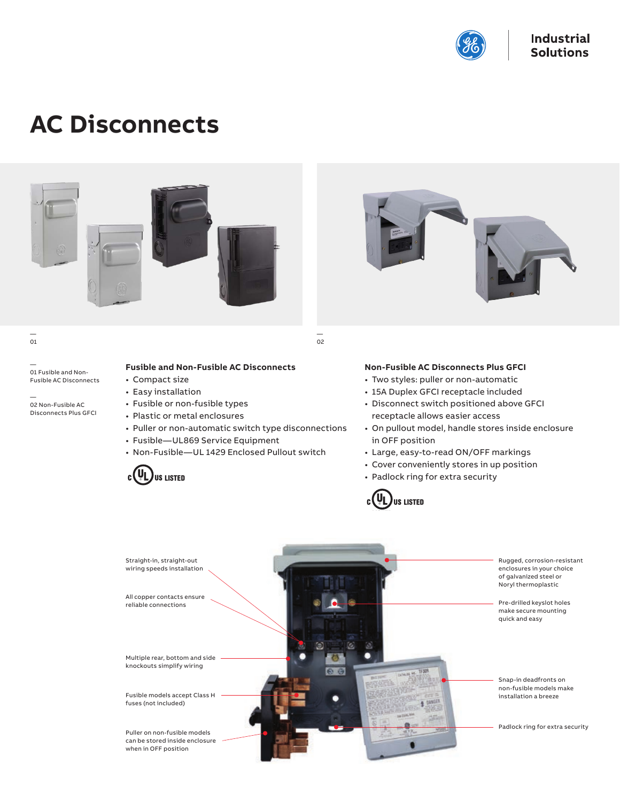

# **AC Disconnects**



— 01 Fusible and Non-Fusible AC Disconnects

— 02 Non-Fusible AC Disconnects Plus GFCI



— 02

## **Fusible and Non-Fusible AC Disconnects**

- Compact size
- Easy installation
- Fusible or non-fusible types
- Plastic or metal enclosures
- Puller or non-automatic switch type disconnections
- Fusible—UL869 Service Equipment
- Non-Fusible—UL 1429 Enclosed Pullout switch





## **Non-Fusible AC Disconnects Plus GFCI**

- Two styles: puller or non-automatic
- 15A Duplex GFCI receptacle included
- Disconnect switch positioned above GFCI receptacle allows easier access
- On pullout model, handle stores inside enclosure in OFF position
- Large, easy-to-read ON/OFF markings
- Cover conveniently stores in up position
- Padlock ring for extra security